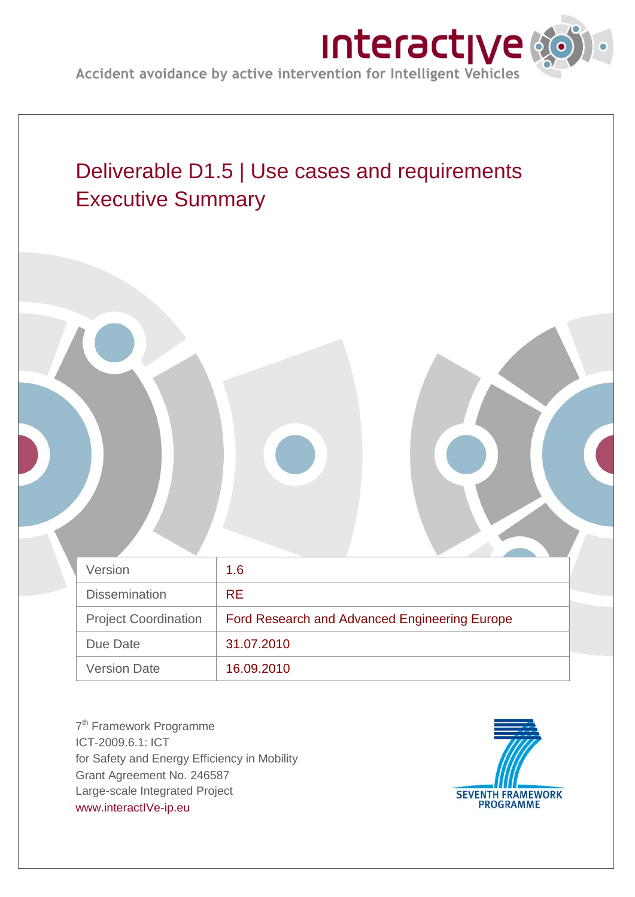



7<sup>th</sup> Framework Programme ICT-2009.6.1: ICT for Safety and Energy Efficiency in Mobility Grant Agreement No. 246587 Large-scale Integrated Project [www.interactIVe-ip.eu](http://www.interactive-ip.eu/)

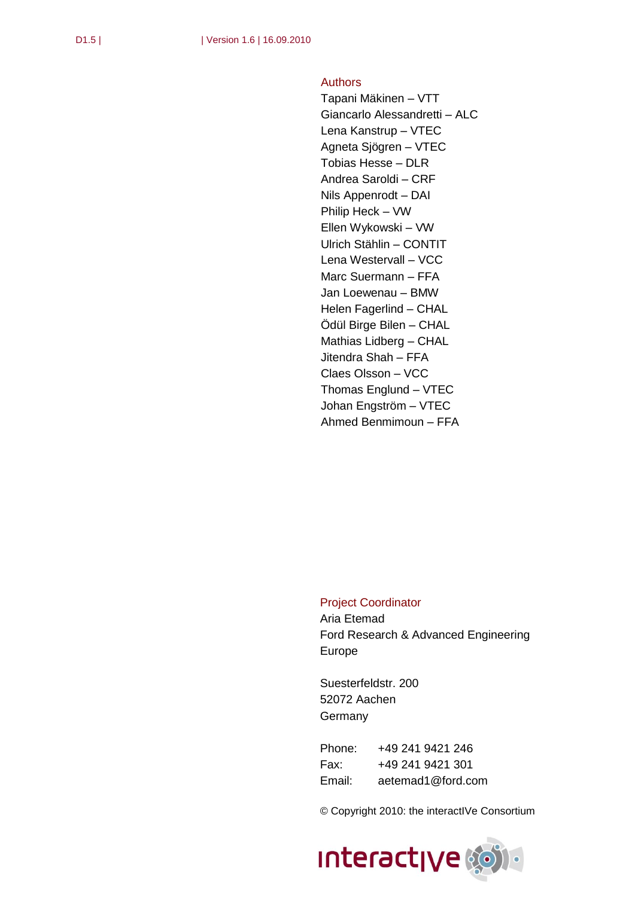## Authors

Tapani Mäkinen – VTT Giancarlo Alessandretti – ALC Lena Kanstrup – VTEC Agneta Sjögren – VTEC Tobias Hesse – DLR Andrea Saroldi – CRF Nils Appenrodt – DAI Philip Heck – VW Ellen Wykowski – VW Ulrich Stählin – CONTIT Lena Westervall – VCC Marc Suermann – FFA Jan Loewenau – BMW Helen Fagerlind – CHAL Ödül Birge Bilen – CHAL Mathias Lidberg – CHAL Jitendra Shah – FFA Claes Olsson – VCC Thomas Englund – VTEC Johan Engström – VTEC Ahmed Benmimoun – FFA

## Project Coordinator

Aria Etemad Ford Research & Advanced Engineering Europe

Suesterfeldstr. 200 52072 Aachen **Germany** 

Phone: +49 241 9421 246 Fax: +49 241 9421 301 Email: [aetemad1@ford.com](mailto:aetemad1@ford.com)

© Copyright 2010: the interactIVe Consortium

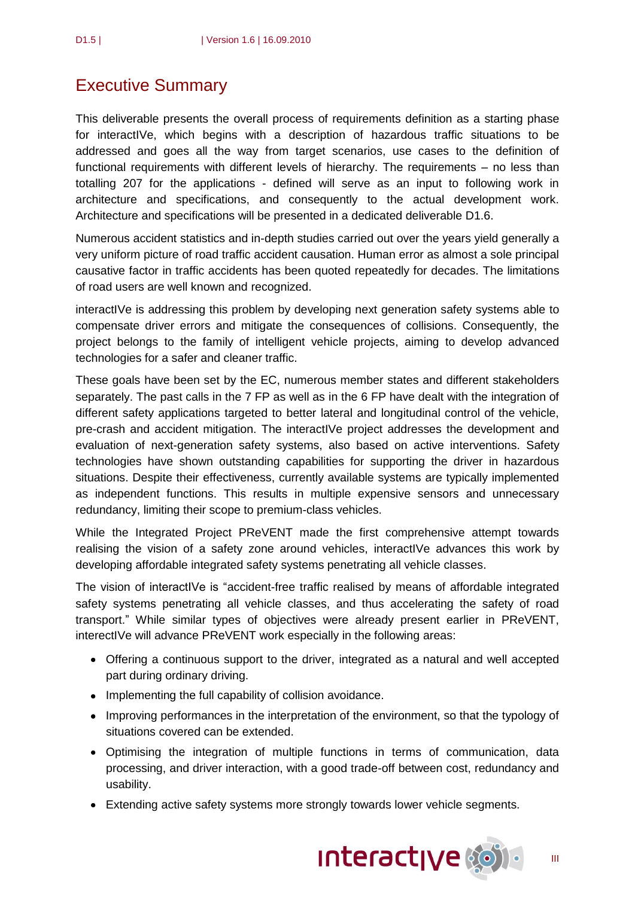## Executive Summary

This deliverable presents the overall process of requirements definition as a starting phase for interactIVe, which begins with a description of hazardous traffic situations to be addressed and goes all the way from target scenarios, use cases to the definition of functional requirements with different levels of hierarchy. The requirements – no less than totalling 207 for the applications - defined will serve as an input to following work in architecture and specifications, and consequently to the actual development work. Architecture and specifications will be presented in a dedicated deliverable D1.6.

Numerous accident statistics and in-depth studies carried out over the years yield generally a very uniform picture of road traffic accident causation. Human error as almost a sole principal causative factor in traffic accidents has been quoted repeatedly for decades. The limitations of road users are well known and recognized.

interactIVe is addressing this problem by developing next generation safety systems able to compensate driver errors and mitigate the consequences of collisions. Consequently, the project belongs to the family of intelligent vehicle projects, aiming to develop advanced technologies for a safer and cleaner traffic.

These goals have been set by the EC, numerous member states and different stakeholders separately. The past calls in the 7 FP as well as in the 6 FP have dealt with the integration of different safety applications targeted to better lateral and longitudinal control of the vehicle, pre-crash and accident mitigation. The interactIVe project addresses the development and evaluation of next-generation safety systems, also based on active interventions. Safety technologies have shown outstanding capabilities for supporting the driver in hazardous situations. Despite their effectiveness, currently available systems are typically implemented as independent functions. This results in multiple expensive sensors and unnecessary redundancy, limiting their scope to premium-class vehicles.

While the Integrated Project PReVENT made the first comprehensive attempt towards realising the vision of a safety zone around vehicles, interactIVe advances this work by developing affordable integrated safety systems penetrating all vehicle classes.

The vision of interactIVe is "accident-free traffic realised by means of affordable integrated safety systems penetrating all vehicle classes, and thus accelerating the safety of road transport." While similar types of objectives were already present earlier in PReVENT, interectIVe will advance PReVENT work especially in the following areas:

- Offering a continuous support to the driver, integrated as a natural and well accepted part during ordinary driving.
- Implementing the full capability of collision avoidance.
- Improving performances in the interpretation of the environment, so that the typology of situations covered can be extended.
- Optimising the integration of multiple functions in terms of communication, data processing, and driver interaction, with a good trade-off between cost, redundancy and usability.
- Extending active safety systems more strongly towards lower vehicle segments.

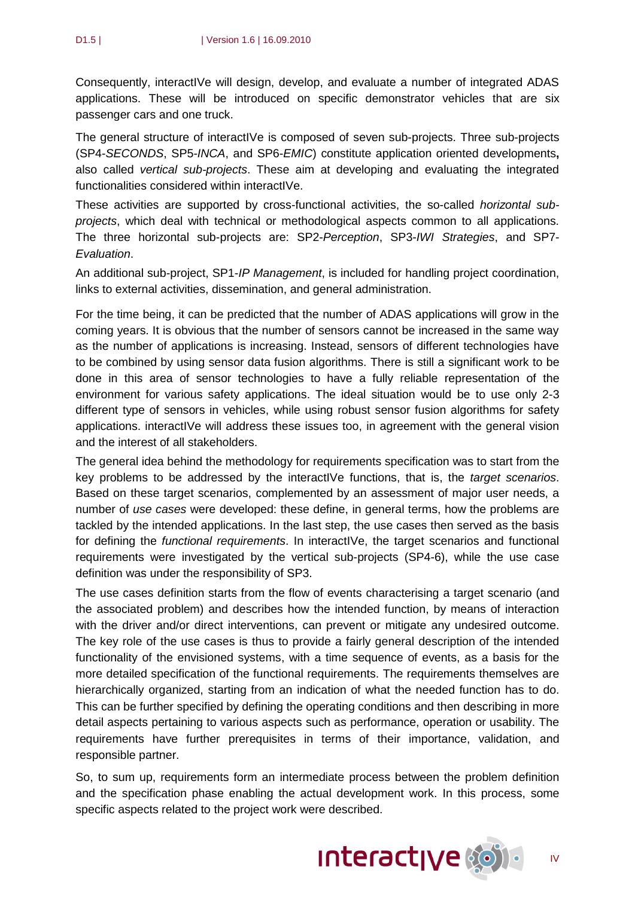Consequently, interactIVe will design, develop, and evaluate a number of integrated ADAS applications. These will be introduced on specific demonstrator vehicles that are six passenger cars and one truck.

The general structure of interactIVe is composed of seven sub-projects. Three sub-projects (SP4-*SECONDS*, SP5-*INCA*, and SP6-*EMIC*) constitute application oriented developments**,**  also called *vertical sub-projects*. These aim at developing and evaluating the integrated functionalities considered within interactIVe.

These activities are supported by cross-functional activities, the so-called *horizontal subprojects*, which deal with technical or methodological aspects common to all applications. The three horizontal sub-projects are: SP2-*Perception*, SP3-*IWI Strategies*, and SP7- *Evaluation*.

An additional sub-project, SP1-*IP Management*, is included for handling project coordination, links to external activities, dissemination, and general administration.

For the time being, it can be predicted that the number of ADAS applications will grow in the coming years. It is obvious that the number of sensors cannot be increased in the same way as the number of applications is increasing. Instead, sensors of different technologies have to be combined by using sensor data fusion algorithms. There is still a significant work to be done in this area of sensor technologies to have a fully reliable representation of the environment for various safety applications. The ideal situation would be to use only 2-3 different type of sensors in vehicles, while using robust sensor fusion algorithms for safety applications. interactIVe will address these issues too, in agreement with the general vision and the interest of all stakeholders.

The general idea behind the methodology for requirements specification was to start from the key problems to be addressed by the interactIVe functions, that is, the *target scenarios*. Based on these target scenarios, complemented by an assessment of major user needs, a number of *use cases* were developed: these define, in general terms, how the problems are tackled by the intended applications. In the last step, the use cases then served as the basis for defining the *functional requirements*. In interactIVe, the target scenarios and functional requirements were investigated by the vertical sub-projects (SP4-6), while the use case definition was under the responsibility of SP3.

The use cases definition starts from the flow of events characterising a target scenario (and the associated problem) and describes how the intended function, by means of interaction with the driver and/or direct interventions, can prevent or mitigate any undesired outcome. The key role of the use cases is thus to provide a fairly general description of the intended functionality of the envisioned systems, with a time sequence of events, as a basis for the more detailed specification of the functional requirements. The requirements themselves are hierarchically organized, starting from an indication of what the needed function has to do. This can be further specified by defining the operating conditions and then describing in more detail aspects pertaining to various aspects such as performance, operation or usability. The requirements have further prerequisites in terms of their importance, validation, and responsible partner.

So, to sum up, requirements form an intermediate process between the problem definition and the specification phase enabling the actual development work. In this process, some specific aspects related to the project work were described.